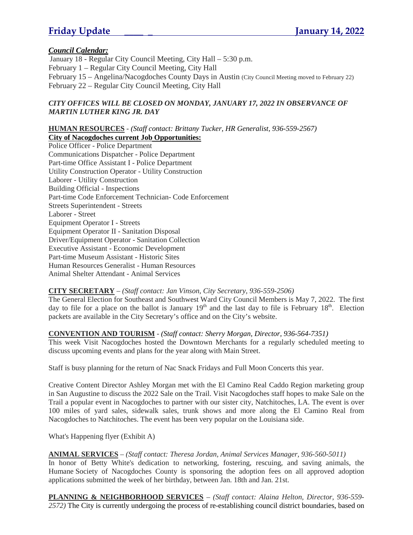### *Council Calendar:*

January 18 - Regular City Council Meeting, City Hall – 5:30 p.m. February 1 – Regular City Council Meeting, City Hall February 15 – Angelina/Nacogdoches County Days in Austin (City Council Meeting moved to February 22) February 22 – Regular City Council Meeting, City Hall

#### *CITY OFFICES WILL BE CLOSED ON MONDAY, JANUARY 17, 2022 IN OBSERVANCE OF MARTIN LUTHER KING JR. DAY*

#### **HUMAN RESOURCES** - *(Staff contact: Brittany Tucker, HR Generalist, 936-559-2567)* **City of Nacogdoches current Job Opportunities:**

Police Officer - Police Department Communications Dispatcher - Police Department Part-time Office Assistant I - Police Department Utility Construction Operator - Utility Construction Laborer - Utility Construction Building Official - Inspections Part-time Code Enforcement Technician- Code Enforcement Streets Superintendent - Streets Laborer - Street Equipment Operator I - Streets Equipment Operator II - Sanitation Disposal Driver/Equipment Operator - Sanitation Collection Executive Assistant - Economic Development Part-time Museum Assistant - Historic Sites Human Resources Generalist - Human Resources Animal Shelter Attendant - Animal Services

#### **CITY SECRETARY** – *(Staff contact: Jan Vinson, City Secretary, 936-559-2506)*

The General Election for Southeast and Southwest Ward City Council Members is May 7, 2022. The first day to file for a place on the ballot is January  $19<sup>th</sup>$  and the last day to file is February  $18<sup>th</sup>$ . Election packets are available in the City Secretary's office and on the City's website.

#### **CONVENTION AND TOURISM** - *(Staff contact: Sherry Morgan, Director, 936-564-7351)*

This week Visit Nacogdoches hosted the Downtown Merchants for a regularly scheduled meeting to discuss upcoming events and plans for the year along with Main Street.

Staff is busy planning for the return of Nac Snack Fridays and Full Moon Concerts this year.

Creative Content Director Ashley Morgan met with the El Camino Real Caddo Region marketing group in San Augustine to discuss the 2022 Sale on the Trail. Visit Nacogdoches staff hopes to make Sale on the Trail a popular event in Nacogdoches to partner with our sister city, Natchitoches, LA. The event is over 100 miles of yard sales, sidewalk sales, trunk shows and more along the El Camino Real from Nacogdoches to Natchitoches. The event has been very popular on the Louisiana side.

What's Happening flyer (Exhibit A)

#### **ANIMAL SERVICES** – *(Staff contact: Theresa Jordan, Animal Services Manager, 936-560-5011)*

In honor of Betty White's dedication to networking, fostering, rescuing, and saving animals, the Humane Society of Nacogdoches County is sponsoring the adoption fees on all approved adoption applications submitted the week of her birthday, between Jan. 18th and Jan. 21st.

**PLANNING & NEIGHBORHOOD SERVICES** – *(Staff contact: Alaina Helton, Director, 936-559- 2572)* The City is currently undergoing the process of re-establishing council district boundaries, based on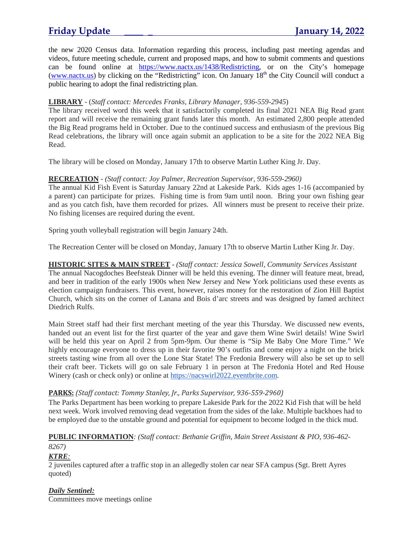the new 2020 Census data. Information regarding this process, including past meeting agendas and videos, future meeting schedule, current and proposed maps, and how to submit comments and questions can be found online at https://www.nactx.us/1438/Redistricting, or on the City's homepage (www.nactx.us) by clicking on the "Redistricting" icon. On January  $18<sup>th</sup>$  the City Council will conduct a public hearing to adopt the final redistricting plan.

### **LIBRARY** - (*Staff contact: Mercedes Franks, Library Manager, 936-559-2945*)

The library received word this week that it satisfactorily completed its final 2021 NEA Big Read grant report and will receive the remaining grant funds later this month. An estimated 2,800 people attended the Big Read programs held in October. Due to the continued success and enthusiasm of the previous Big Read celebrations, the library will once again submit an application to be a site for the 2022 NEA Big Read.

The library will be closed on Monday, January 17th to observe Martin Luther King Jr. Day.

#### **RECREATION** - *(Staff contact: Joy Palmer, Recreation Supervisor, 936-559-2960)*

The annual Kid Fish Event is Saturday January 22nd at Lakeside Park. Kids ages 1-16 (accompanied by a parent) can participate for prizes. Fishing time is from 9am until noon. Bring your own fishing gear and as you catch fish, have them recorded for prizes. All winners must be present to receive their prize. No fishing licenses are required during the event.

Spring youth volleyball registration will begin January 24th.

The Recreation Center will be closed on Monday, January 17th to observe Martin Luther King Jr. Day.

### **HISTORIC SITES & MAIN STREET** - *(Staff contact: Jessica Sowell, Community Services Assistant*

The annual Nacogdoches Beefsteak Dinner will be held this evening. The dinner will feature meat, bread, and beer in tradition of the early 1900s when New Jersey and New York politicians used these events as election campaign fundraisers. This event, however, raises money for the restoration of Zion Hill Baptist Church, which sits on the corner of Lanana and Bois d'arc streets and was designed by famed architect Diedrich Rulfs.

Main Street staff had their first merchant meeting of the year this Thursday. We discussed new events, handed out an event list for the first quarter of the year and gave them Wine Swirl details! Wine Swirl will be held this year on April 2 from 5pm-9pm. Our theme is "Sip Me Baby One More Time." We highly encourage everyone to dress up in their favorite 90's outfits and come enjoy a night on the brick streets tasting wine from all over the Lone Star State! The Fredonia Brewery will also be set up to sell their craft beer. Tickets will go on sale February 1 in person at The Fredonia Hotel and Red House Winery (cash or check only) or online at https://nacswirl2022.eventbrite.com.

### **PARKS:** *(Staff contact: Tommy Stanley, Jr., Parks Supervisor, 936-559-2960)*

The Parks Department has been working to prepare Lakeside Park for the 2022 Kid Fish that will be held next week. Work involved removing dead vegetation from the sides of the lake. Multiple backhoes had to be employed due to the unstable ground and potential for equipment to become lodged in the thick mud.

### **PUBLIC INFORMATION***: (Staff contact: Bethanie Griffin, Main Street Assistant & PIO, 936-462-*

### *8267)*

### *KTRE:*

2 juveniles captured after a traffic stop in an allegedly stolen car near SFA campus (Sgt. Brett Ayres quoted)

#### *Daily Sentinel:*

Committees move meetings online